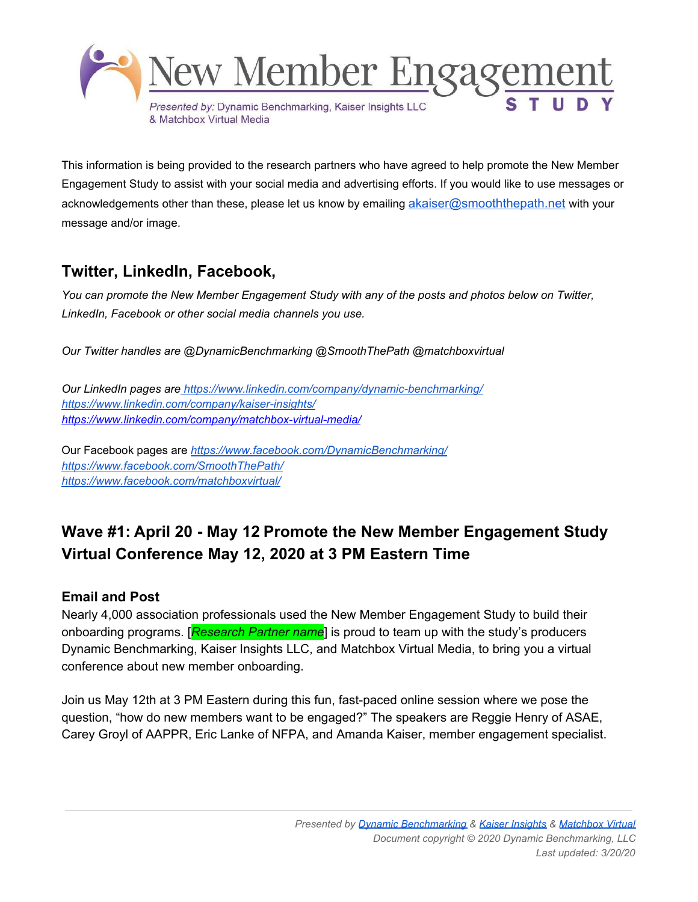

This information is being provided to the research partners who have agreed to help promote the New Member Engagement Study to assist with your social media and advertising efforts. If you would like to use messages or acknowledgements other than these, please let us know by emailing [akaiser@smooththepath.net](mailto:akaiser@smooththepath.net) with your message and/or image.

## **Twitter, LinkedIn, Facebook,**

*You can promote the New Member Engagement Study with any of the posts and photos below on Twitter, LinkedIn, Facebook or other social media channels you use.*

*Our Twitter handles are @DynamicBenchmarking @SmoothThePath @matchboxvirtual*

*Our LinkedIn pages are <https://www.linkedin.com/company/dynamic-benchmarking/> <https://www.linkedin.com/company/kaiser-insights/> <https://www.linkedin.com/company/matchbox-virtual-media/>*

Our Facebook pages are *<https://www.facebook.com/DynamicBenchmarking/> <https://www.facebook.com/SmoothThePath/> <https://www.facebook.com/matchboxvirtual/>*

# **Wave #1: April 20 - May 12 Promote the New Member Engagement Study Virtual Conference May 12, 2020 at 3 PM Eastern Time**

### **Email and Post**

Nearly 4,000 association professionals used the New Member Engagement Study to build their onboarding programs. [*Research Partner name*] is proud to team up with the study's producers Dynamic Benchmarking, Kaiser Insights LLC, and Matchbox Virtual Media, to bring you a virtual conference about new member onboarding.

Join us May 12th at 3 PM Eastern during this fun, fast-paced online session where we pose the question, "how do new members want to be engaged?" The speakers are Reggie Henry of ASAE, Carey Groyl of AAPPR, Eric Lanke of NFPA, and Amanda Kaiser, member engagement specialist.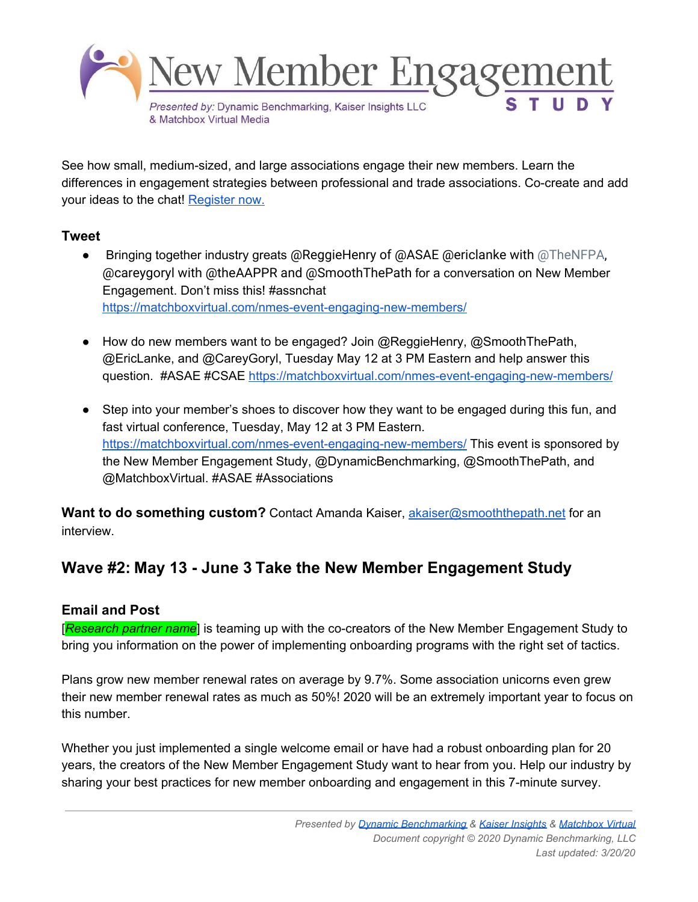

See how small, medium-sized, and large associations engage their new members. Learn the differences in engagement strategies between professional and trade associations. Co-create and add your ideas to the chat! [Register](https://matchboxvirtual.com/nmes-event-engaging-new-members/) now.

### **Tweet**

- **•** Bringing together industry greats @ReggieHenry of @ASAE @ericlanke with @TheNFPA, @careygoryl with @theAAPPR and @SmoothThePath for a conversation on New Member Engagement. Don't miss this! #assnchat <https://matchboxvirtual.com/nmes-event-engaging-new-members/>
- How do new members want to be engaged? Join @ReggieHenry, @SmoothThePath, @EricLanke, and @CareyGoryl, Tuesday May 12 at 3 PM Eastern and help answer this question. #ASAE #CSAE <https://matchboxvirtual.com/nmes-event-engaging-new-members/>
- Step into your member's shoes to discover how they want to be engaged during this fun, and fast virtual conference, Tuesday, May 12 at 3 PM Eastern. <https://matchboxvirtual.com/nmes-event-engaging-new-members/> This event is sponsored by the New Member Engagement Study, @DynamicBenchmarking, @SmoothThePath, and @MatchboxVirtual. #ASAE #Associations

**Want to do something custom?** Contact Amanda Kaiser, **[akaiser@smooththepath.net](mailto:akaiser@smooththepath.net)** for an interview.

### **Wave #2: May 13 - June 3 Take the New Member Engagement Study**

### **Email and Post**

[*Research partner name*] is teaming up with the co-creators of the New Member Engagement Study to bring you information on the power of implementing onboarding programs with the right set of tactics.

Plans grow new member renewal rates on average by 9.7%. Some association unicorns even grew their new member renewal rates as much as 50%! 2020 will be an extremely important year to focus on this number.

Whether you just implemented a single welcome email or have had a robust onboarding plan for 20 years, the creators of the New Member Engagement Study want to hear from you. Help our industry by sharing your best practices for new member onboarding and engagement in this 7-minute survey.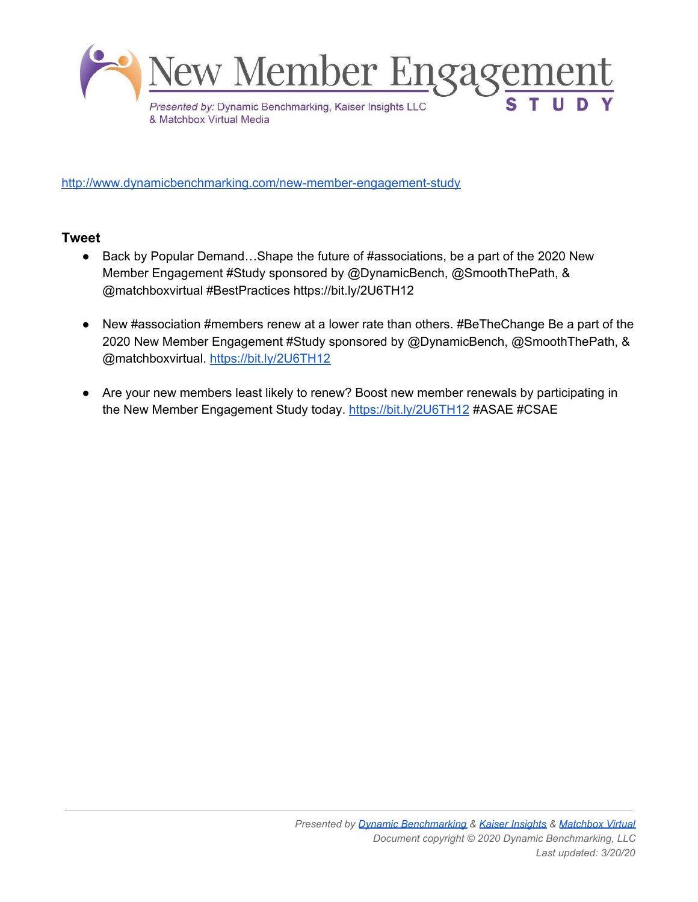

<http://www.dynamicbenchmarking.com/new-member-engagement-study>

### **Tweet**

- Back by Popular Demand...Shape the future of #associations, be a part of the 2020 New Member Engagement #Study sponsored by @DynamicBench, @SmoothThePath, & @matchboxvirtual #BestPractices https://bit.ly/2U6TH12
- New #association #members renew at a lower rate than others. #BeTheChange Be a part of the 2020 New Member Engagement #Study sponsored by @DynamicBench, @SmoothThePath, & @matchboxvirtual. <https://bit.ly/2U6TH12>
- Are your new members least likely to renew? Boost new member renewals by participating in the New Member Engagement Study today. <https://bit.ly/2U6TH12> #ASAE #CSAE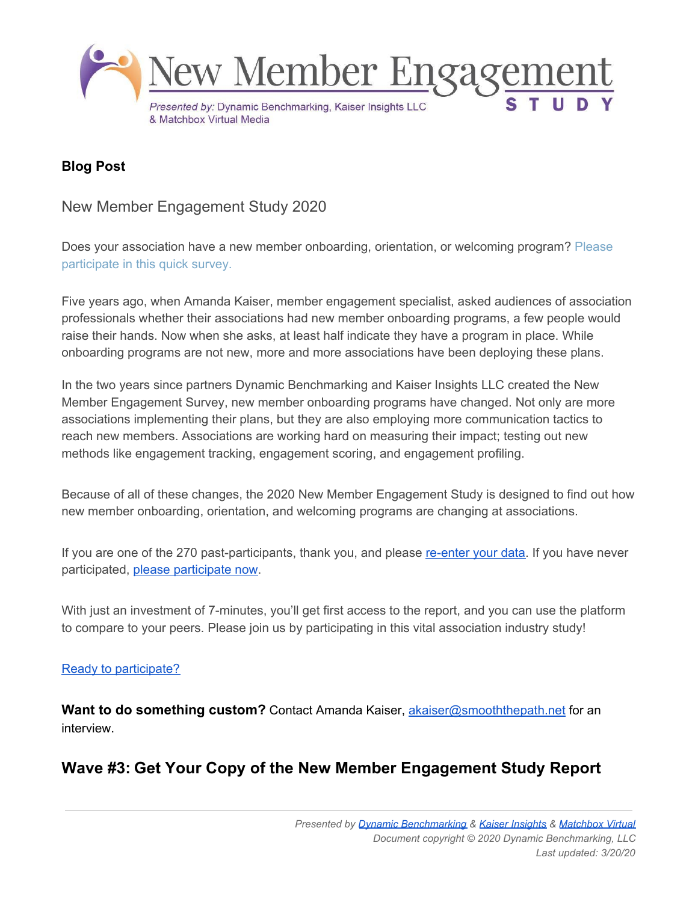

### **Blog Post**

New Member Engagement Study 2020

Does your association have a new member onboarding, orientation, or welcoming program? [Please](https://www.dynamicbenchmarking.com/new-member-engagement-study) [participate](https://www.dynamicbenchmarking.com/new-member-engagement-study) in this quick survey.

Five years ago, when Amanda Kaiser, member engagement specialist, asked audiences of association professionals whether their associations had new member onboarding programs, a few people would raise their hands. Now when she asks, at least half indicate they have a program in place. While onboarding programs are not new, more and more associations have been deploying these plans.

In the two years since partners Dynamic Benchmarking and Kaiser Insights LLC created the New Member Engagement Survey, new member onboarding programs have changed. Not only are more associations implementing their plans, but they are also employing more communication tactics to reach new members. Associations are working hard on measuring their impact; testing out new methods like engagement tracking, engagement scoring, and engagement profiling.

Because of all of these changes, the 2020 New Member Engagement Study is designed to find out how new member onboarding, orientation, and welcoming programs are changing at associations.

If you are one of the 270 past-participants, thank you, and please [re-enter](https://www.dynamicbenchmarking.com/new-member-engagement-study) your data. If you have never [participate](https://www.dynamicbenchmarking.com/new-member-engagement-study)d, please participate now.

With just an investment of 7-minutes, you'll get first access to the report, and you can use the platform to compare to your peers. Please join us by participating in this vital association industry study!

#### Ready to [participate?](https://www.dynamicbenchmarking.com/new-member-engagement-study)

**Want to do something custom?** Contact Amanda Kaiser, **[akaiser@smooththepath.net](mailto:akaiser@smooththepath.net)** for an interview.

## **Wave #3: Get Your Copy of the New Member Engagement Study Report**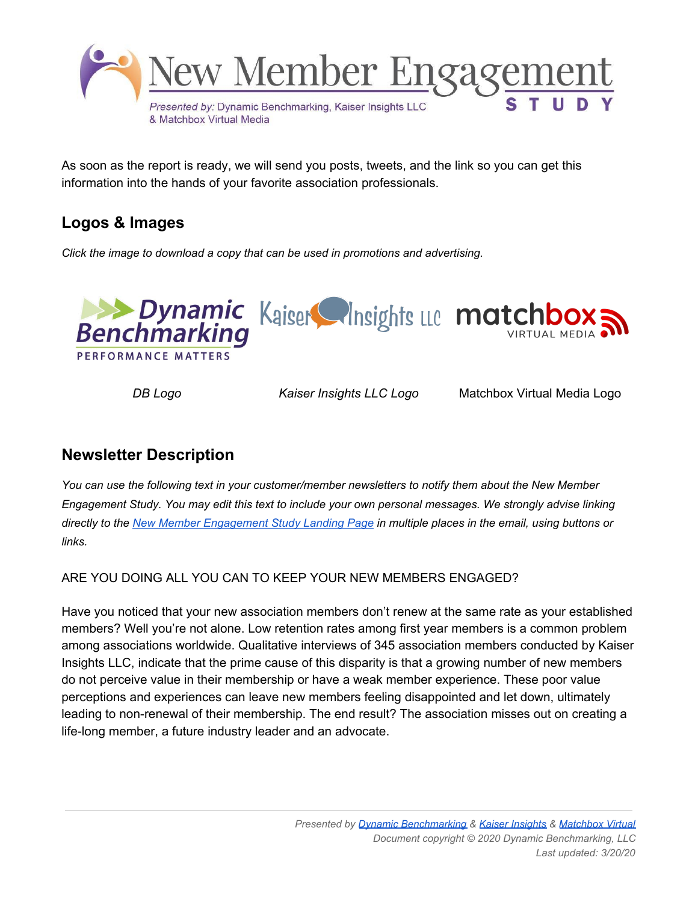

As soon as the report is ready, we will send you posts, tweets, and the link so you can get this information into the hands of your favorite association professionals.

## **Logos & Images**

*Click the image to download a copy that can be used in promotions and advertising.*



*DB Logo Kaiser Insights LLC Logo* Matchbox Virtual Media Logo

### **Newsletter Description**

*You can use the following text in your customer/member newsletters to notify them about the New Member* Engagement Study. You may edit this text to include your own personal messages. We strongly advise linking directly to the New Member [Engagement](https://www.dynamicbenchmarking.com/new-member-engagement-study) Study Landing Page in multiple places in the email, using buttons or *links.*

ARE YOU DOING ALL YOU CAN TO KEEP YOUR NEW MEMBERS ENGAGED?

Have you noticed that your new association members don't renew at the same rate as your established members? Well you're not alone. Low retention rates among first year members is a common problem among associations worldwide. Qualitative interviews of 345 association members conducted by Kaiser Insights LLC, indicate that the prime cause of this disparity is that a growing number of new members do not perceive value in their membership or have a weak member experience. These poor value perceptions and experiences can leave new members feeling disappointed and let down, ultimately leading to non-renewal of their membership. The end result? The association misses out on creating a life-long member, a future industry leader and an advocate.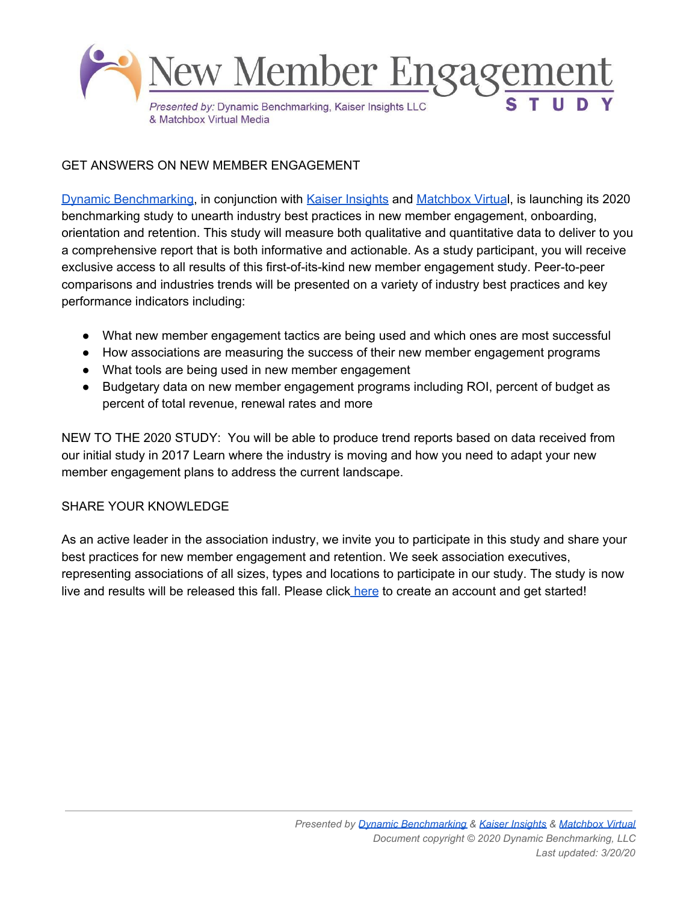

#### GET ANSWERS ON NEW MEMBER ENGAGEMENT

Dynamic [Benchmarking](http://www.dynamicbenchmarking.com/), in conjunction with Kaiser [Insights](https://www.smooththepath.net/) and [Matchbox](https://matchboxvirtual.com/) Virtual, is launching its 2020 benchmarking study to unearth industry best practices in new member engagement, onboarding, orientation and retention. This study will measure both qualitative and quantitative data to deliver to you a comprehensive report that is both informative and actionable. As a study participant, you will receive exclusive access to all results of this first-of-its-kind new member engagement study. Peer-to-peer comparisons and industries trends will be presented on a variety of industry best practices and key performance indicators including:

- What new member engagement tactics are being used and which ones are most successful
- How associations are measuring the success of their new member engagement programs
- What tools are being used in new member engagement
- Budgetary data on new member engagement programs including ROI, percent of budget as percent of total revenue, renewal rates and more

NEW TO THE 2020 STUDY: You will be able to produce trend reports based on data received from our initial study in 2017 Learn where the industry is moving and how you need to adapt your new member engagement plans to address the current landscape.

#### SHARE YOUR KNOWLEDGE

As an active leader in the association industry, we invite you to participate in this study and share your best practices for new member engagement and retention. We seek association executives, representing associations of all sizes, types and locations to participate in our study. The study is now live and results will be released this fall. Please click [here](https://www.dynamicbenchmarking.com/new-member-engagement-study) to create an account and get started!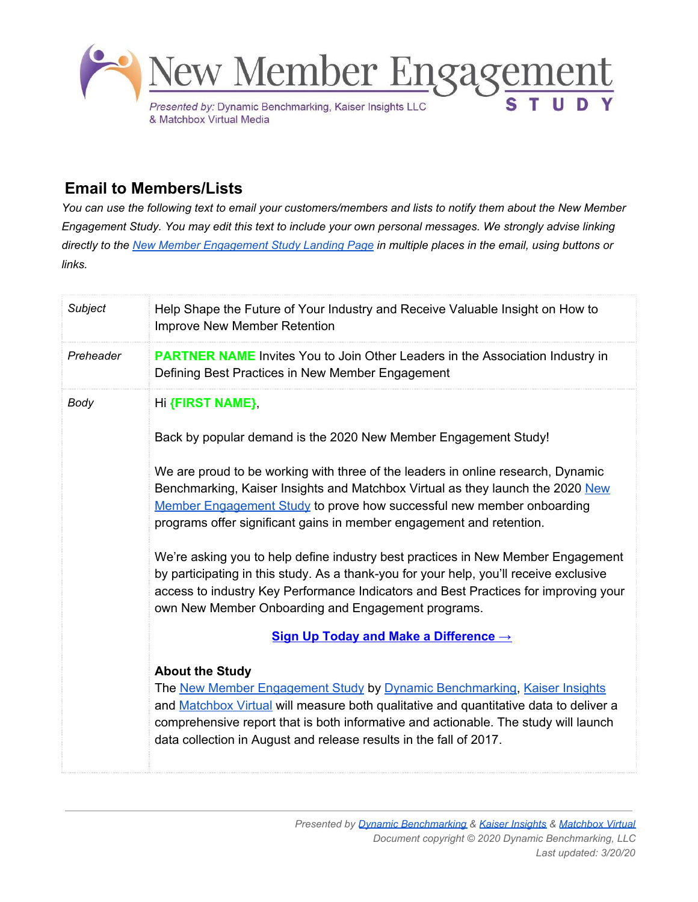

### **Email to Members/Lists**

You can use the following text to email your customers/members and lists to notify them about the New Member Engagement Study. You may edit this text to include your own personal messages. We strongly advise linking directly to the New Member [Engagement](http://www.dynamicbenchmarking.com/new-member-engagement-study) Study Landing Page in multiple places in the email, using buttons or *links.*

| Subject   | Help Shape the Future of Your Industry and Receive Valuable Insight on How to<br>Improve New Member Retention                                                                                                                                                                                                                                                                                                                                                                                                                                                                                                                                                                                                                                                                                                                                                                                                                                                                                                                                                                                                                             |
|-----------|-------------------------------------------------------------------------------------------------------------------------------------------------------------------------------------------------------------------------------------------------------------------------------------------------------------------------------------------------------------------------------------------------------------------------------------------------------------------------------------------------------------------------------------------------------------------------------------------------------------------------------------------------------------------------------------------------------------------------------------------------------------------------------------------------------------------------------------------------------------------------------------------------------------------------------------------------------------------------------------------------------------------------------------------------------------------------------------------------------------------------------------------|
| Preheader | <b>PARTNER NAME</b> Invites You to Join Other Leaders in the Association Industry in<br>Defining Best Practices in New Member Engagement                                                                                                                                                                                                                                                                                                                                                                                                                                                                                                                                                                                                                                                                                                                                                                                                                                                                                                                                                                                                  |
| Body      | Hi {FIRST NAME}<br>Back by popular demand is the 2020 New Member Engagement Study!<br>We are proud to be working with three of the leaders in online research, Dynamic<br>Benchmarking, Kaiser Insights and Matchbox Virtual as they launch the 2020 New<br>Member Engagement Study to prove how successful new member onboarding<br>programs offer significant gains in member engagement and retention.<br>We're asking you to help define industry best practices in New Member Engagement<br>by participating in this study. As a thank-you for your help, you'll receive exclusive<br>access to industry Key Performance Indicators and Best Practices for improving your<br>own New Member Onboarding and Engagement programs.<br>Sign Up Today and Make a Difference →<br><b>About the Study</b><br>The New Member Engagement Study by Dynamic Benchmarking, Kaiser Insights<br>and Matchbox Virtual will measure both qualitative and quantitative data to deliver a<br>comprehensive report that is both informative and actionable. The study will launch<br>data collection in August and release results in the fall of 2017. |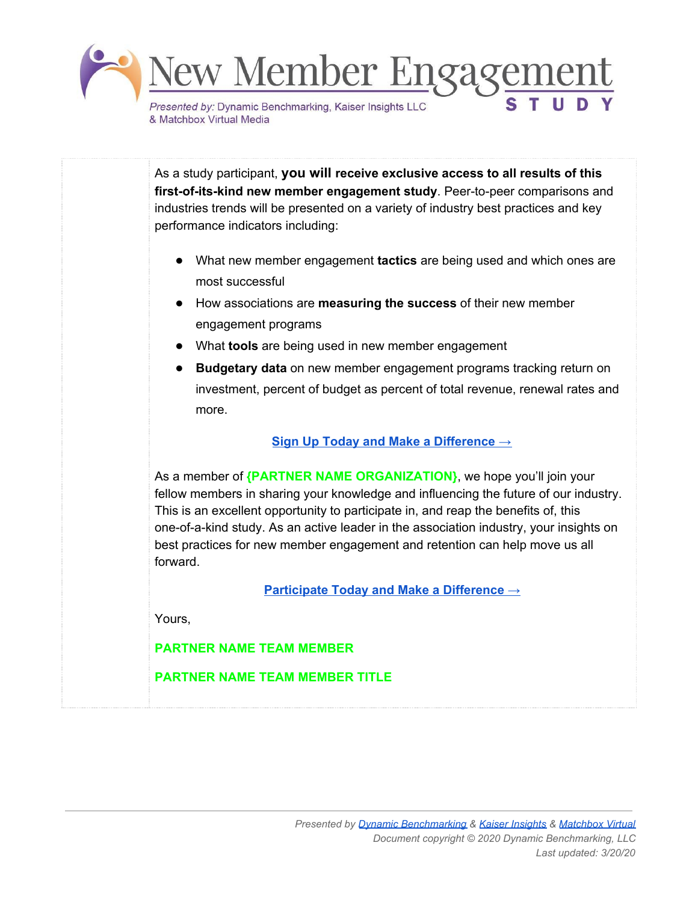

As a study participant, **you will receive exclusive access to all results of this first-of-its-kind new member engagement study**. Peer-to-peer comparisons and industries trends will be presented on a variety of industry best practices and key performance indicators including:

- What new member engagement **tactics** are being used and which ones are most successful
- How associations are **measuring the success** of their new member engagement programs
- What **tools** are being used in new member engagement
- **Budgetary data** on new member engagement programs tracking return on investment, percent of budget as percent of total revenue, renewal rates and more.

### **Sign Up Today and Make a [Difference](http://www.dynamicbenchmarking.com/new-member-engagement-study) →**

As a member of **{PARTNER NAME ORGANIZATION}**, we hope you'll join your fellow members in sharing your knowledge and influencing the future of our industry. This is an excellent opportunity to participate in, and reap the benefits of, this one-of-a-kind study. As an active leader in the association industry, your insights on best practices for new member engagement and retention can help move us all forward.

**[Participate](http://www.dynamicbenchmarking.com/new-member-engagement-study) Today and Make a Difference →**

Yours,

### **PARTNER NAME TEAM MEMBER**

### **PARTNER NAME TEAM MEMBER TITLE**